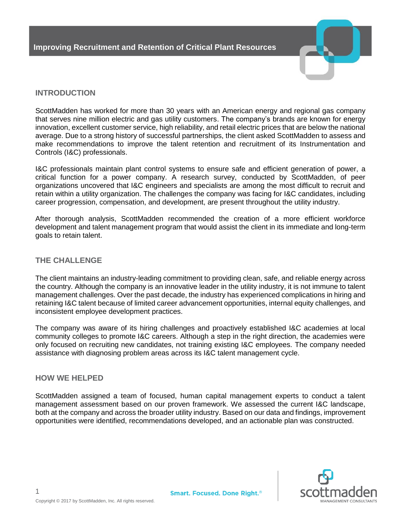

# **INTRODUCTION**

ScottMadden has worked for more than 30 years with an American energy and regional gas company that serves nine million electric and gas utility customers. The company's brands are known for energy innovation, excellent customer service, high reliability, and retail electric prices that are below the national average. Due to a strong history of successful partnerships, the client asked ScottMadden to assess and make recommendations to improve the talent retention and recruitment of its Instrumentation and Controls (I&C) professionals.

I&C professionals maintain plant control systems to ensure safe and efficient generation of power, a critical function for a power company. A research survey, conducted by ScottMadden, of peer organizations uncovered that I&C engineers and specialists are among the most difficult to recruit and retain within a utility organization. The challenges the company was facing for I&C candidates, including career progression, compensation, and development, are present throughout the utility industry.

After thorough analysis, ScottMadden recommended the creation of a more efficient workforce development and talent management program that would assist the client in its immediate and long-term goals to retain talent.

## **THE CHALLENGE**

The client maintains an industry-leading commitment to providing clean, safe, and reliable energy across the country. Although the company is an innovative leader in the utility industry, it is not immune to talent management challenges. Over the past decade, the industry has experienced complications in hiring and retaining I&C talent because of limited career advancement opportunities, internal equity challenges, and inconsistent employee development practices.

The company was aware of its hiring challenges and proactively established I&C academies at local community colleges to promote I&C careers. Although a step in the right direction, the academies were only focused on recruiting new candidates, not training existing I&C employees. The company needed assistance with diagnosing problem areas across its I&C talent management cycle.

### **HOW WE HELPED**

ScottMadden assigned a team of focused, human capital management experts to conduct a talent management assessment based on our proven framework. We assessed the current I&C landscape, both at the company and across the broader utility industry. Based on our data and findings, improvement opportunities were identified, recommendations developed, and an actionable plan was constructed.

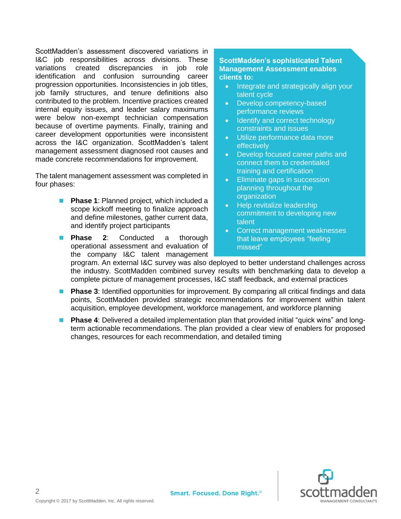ScottMadden's assessment discovered variations in I&C job responsibilities across divisions. These variations created discrepancies in job role identification and confusion surrounding career progression opportunities. Inconsistencies in job titles, job family structures, and tenure definitions also contributed to the problem. Incentive practices created internal equity issues, and leader salary maximums were below non-exempt technician compensation because of overtime payments. Finally, training and career development opportunities were inconsistent across the I&C organization. ScottMadden's talent management assessment diagnosed root causes and made concrete recommendations for improvement.

The talent management assessment was completed in four phases:

- **Phase 1: Planned project, which included a** scope kickoff meeting to finalize approach and define milestones, gather current data, and identify project participants
- **Phase 2:** Conducted a thorough operational assessment and evaluation of the company I&C talent management

### **ScottMadden's sophisticated Talent Management Assessment enables clients to:**

- Integrate and strategically align your talent cycle
- Develop competency-based performance reviews
- Identify and correct technology constraints and issues
- Utilize performance data more effectively
- Develop focused career paths and connect them to credentialed training and certification
- Eliminate gaps in succession planning throughout the organization
- Help revitalize leadership commitment to developing new talent
- Correct management weaknesses that leave employees "feeling missed"

program. An external I&C survey was also deployed to better understand challenges across the industry. ScottMadden combined survey results with benchmarking data to develop a complete picture of management processes, I&C staff feedback, and external practices

- Phase 3: Identified opportunities for improvement. By comparing all critical findings and data points, ScottMadden provided strategic recommendations for improvement within talent acquisition, employee development, workforce management, and workforce planning
- Phase 4: Delivered a detailed implementation plan that provided initial "quick wins" and longterm actionable recommendations. The plan provided a clear view of enablers for proposed changes, resources for each recommendation, and detailed timing



2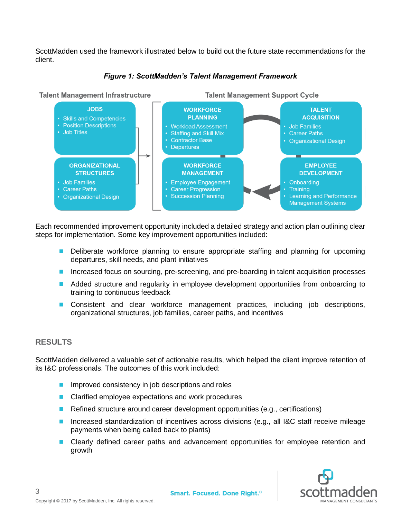ScottMadden used the framework illustrated below to build out the future state recommendations for the client.



#### *Figure 1: ScottMadden's Talent Management Framework*

Each recommended improvement opportunity included a detailed strategy and action plan outlining clear steps for implementation. Some key improvement opportunities included:

- Deliberate workforce planning to ensure appropriate staffing and planning for upcoming departures, skill needs, and plant initiatives
- Increased focus on sourcing, pre-screening, and pre-boarding in talent acquisition processes
- Added structure and regularity in employee development opportunities from onboarding to training to continuous feedback
- Consistent and clear workforce management practices, including job descriptions, organizational structures, job families, career paths, and incentives

### **RESULTS**

3

ScottMadden delivered a valuable set of actionable results, which helped the client improve retention of its I&C professionals. The outcomes of this work included:

- Improved consistency in job descriptions and roles
- Clarified employee expectations and work procedures
- Refined structure around career development opportunities (e.g., certifications)
- Increased standardization of incentives across divisions (e.g., all I&C staff receive mileage payments when being called back to plants)
- Clearly defined career paths and advancement opportunities for employee retention and growth